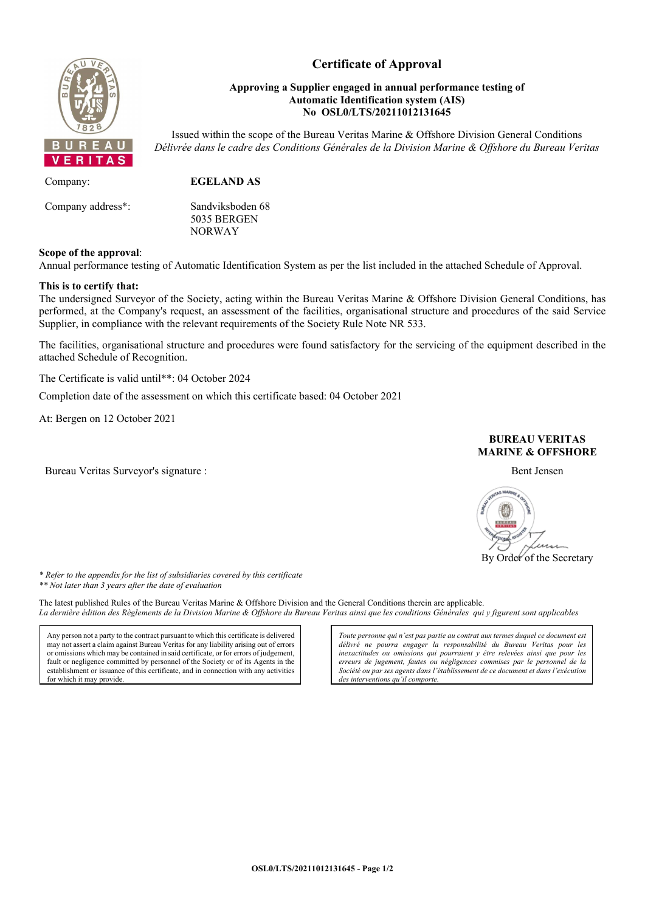

# **Certificate of Approval**

## **Approving a Supplier engaged in annual performance testing of Automatic Identification system (AIS) No OSL0/LTS/20211012131645**

Issued within the scope of the Bureau Veritas Marine & Offshore Division General Conditions *Délivrée dans le cadre des Conditions Générales de la Division Marine & Offshore du Bureau Veritas*

Company: **EGELAND AS** Company address\*: Sandviksboden 68

5035 BERGEN NORWAY

## **Scope of the approval**:

Annual performance testing of Automatic Identification System as per the list included in the attached Schedule of Approval.

#### **This is to certify that:**

The undersigned Surveyor of the Society, acting within the Bureau Veritas Marine & Offshore Division General Conditions, has performed, at the Company's request, an assessment of the facilities, organisational structure and procedures of the said Service Supplier, in compliance with the relevant requirements of the Society Rule Note NR 533.

The facilities, organisational structure and procedures were found satisfactory for the servicing of the equipment described in the attached Schedule of Recognition.

The Certificate is valid until\*\*: 04 October 2024

Completion date of the assessment on which this certificate based: 04 October 2021

At: Bergen on 12 October 2021

Bureau Veritas Surveyor's signature : **Bent Jensen** Bent Jensen Bent Jensen Bent Jensen Bent Jensen Bent Jensen Bent Jensen Bent Jensen Bent Jensen Bent Jensen Bent Jensen Bent Jensen Bent Jensen Bent Jensen Bent Jensen Be





*\* Refer to the appendix for the list of subsidiaries covered by this certificate \*\* Not later than 3 years after the date of evaluation*

The latest published Rules of the Bureau Veritas Marine & Offshore Division and the General Conditions therein are applicable. *La dernière édition des Règlements de la Division Marine & Offshore du Bureau Veritas ainsi que les conditions Générales qui y figurent sont applicables*

Any person not a party to the contract pursuant to which this certificate is delivered may not assert a claim against Bureau Veritas for any liability arising out of errors or omissions which may be contained in said certificate, or for errors of judgement, fault or negligence committed by personnel of the Society or of its Agents in the establishment or issuance of this certificate, and in connection with any activities for which it may provide

*Toute personne qui n'est pas partie au contrat aux termes duquel ce document est délivré ne pourra engager la responsabilité du Bureau Veritas pour les inexactitudes ou omissions qui pourraient y être relevées ainsi que pour les erreurs de jugement, fautes ou négligences commises par le personnel de la Société ou par ses agents dans l'établissement de ce document et dans l'exécution des interventions qu'il comporte.*